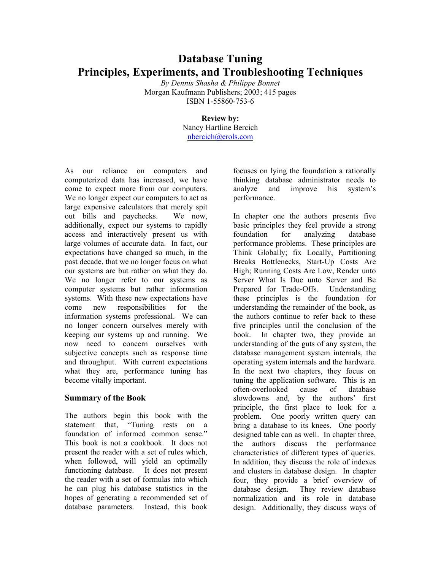# **Database Tuning Principles, Experiments, and Troubleshooting Techniques**

*By Dennis Shasha & Philippe Bonnet*  Morgan Kaufmann Publishers; 2003; 415 pages ISBN 1-55860-753-6

## **Review by:**

Nancy Hartline Bercich nbercich@erols.com

As our reliance on computers and computerized data has increased, we have come to expect more from our computers. We no longer expect our computers to act as large expensive calculators that merely spit out bills and paychecks. We now, additionally, expect our systems to rapidly access and interactively present us with large volumes of accurate data. In fact, our expectations have changed so much, in the past decade, that we no longer focus on what our systems are but rather on what they do. We no longer refer to our systems as computer systems but rather information systems. With these new expectations have come new responsibilities for the information systems professional. We can no longer concern ourselves merely with keeping our systems up and running. We now need to concern ourselves with subjective concepts such as response time and throughput. With current expectations what they are, performance tuning has become vitally important.

### **Summary of the Book**

The authors begin this book with the statement that, "Tuning rests on a foundation of informed common sense." This book is not a cookbook. It does not present the reader with a set of rules which, when followed, will yield an optimally functioning database. It does not present the reader with a set of formulas into which he can plug his database statistics in the hopes of generating a recommended set of database parameters. Instead, this book

focuses on lying the foundation a rationally thinking database administrator needs to analyze and improve his system's performance.

In chapter one the authors presents five basic principles they feel provide a strong foundation for analyzing database performance problems. These principles are Think Globally; fix Locally, Partitioning Breaks Bottlenecks, Start-Up Costs Are High; Running Costs Are Low, Render unto Server What Is Due unto Server and Be Prepared for Trade-Offs. Understanding these principles is the foundation for understanding the remainder of the book, as the authors continue to refer back to these five principles until the conclusion of the book. In chapter two, they provide an understanding of the guts of any system, the database management system internals, the operating system internals and the hardware. In the next two chapters, they focus on tuning the application software. This is an often-overlooked cause of database slowdowns and, by the authors' first principle, the first place to look for a problem. One poorly written query can bring a database to its knees. One poorly designed table can as well. In chapter three, the authors discuss the performance characteristics of different types of queries. In addition, they discuss the role of indexes and clusters in database design. In chapter four, they provide a brief overview of database design. They review database normalization and its role in database design. Additionally, they discuss ways of